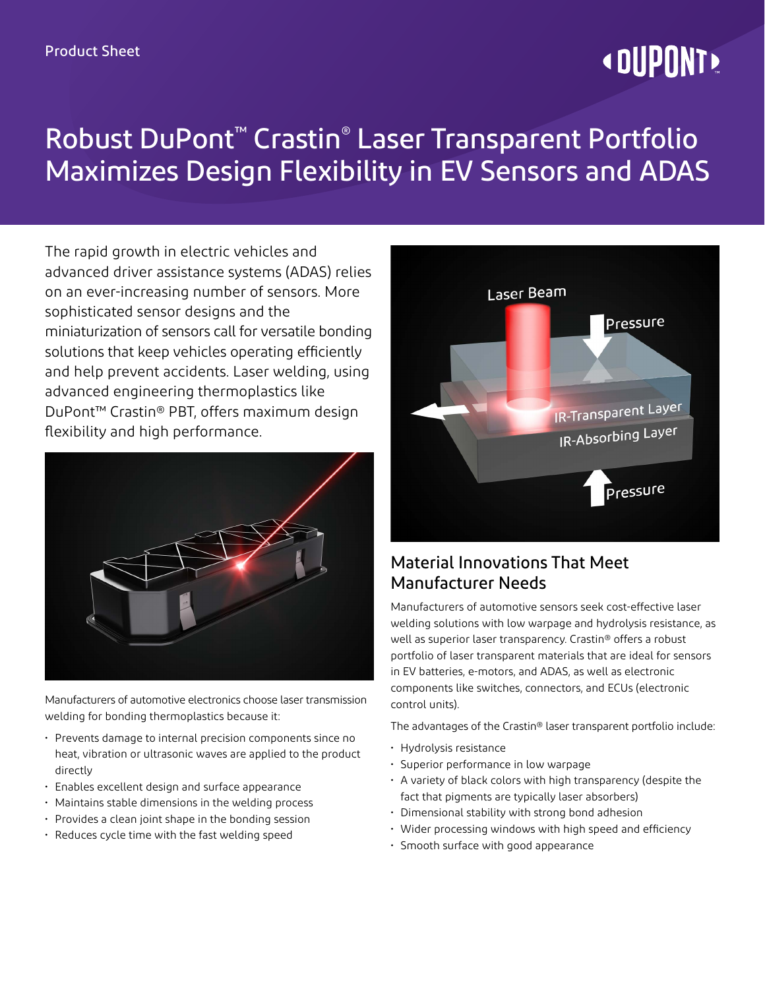# **« DUPONT!**

## Robust DuPont™ Crastin® Laser Transparent Portfolio Maximizes Design Flexibility in EV Sensors and ADAS

The rapid growth in electric vehicles and advanced driver assistance systems (ADAS) relies on an ever-increasing number of sensors. More sophisticated sensor designs and the miniaturization of sensors call for versatile bonding solutions that keep vehicles operating efficiently and help prevent accidents. Laser welding, using advanced engineering thermoplastics like DuPont™ Crastin® PBT, offers maximum design flexibility and high performance.



Manufacturers of automotive electronics choose laser transmission welding for bonding thermoplastics because it:

- Prevents damage to internal precision components since no heat, vibration or ultrasonic waves are applied to the product directly
- Enables excellent design and surface appearance
- Maintains stable dimensions in the welding process
- Provides a clean joint shape in the bonding session
- Reduces cycle time with the fast welding speed



## Material Innovations That Meet Manufacturer Needs

Manufacturers of automotive sensors seek cost-effective laser welding solutions with low warpage and hydrolysis resistance, as well as superior laser transparency. Crastin® offers a robust portfolio of laser transparent materials that are ideal for sensors in EV batteries, e-motors, and ADAS, as well as electronic components like switches, connectors, and ECUs (electronic control units).

The advantages of the Crastin® laser transparent portfolio include:

- Hydrolysis resistance
- Superior performance in low warpage
- A variety of black colors with high transparency (despite the fact that pigments are typically laser absorbers)
- Dimensional stability with strong bond adhesion
- Wider processing windows with high speed and efficiency
- Smooth surface with good appearance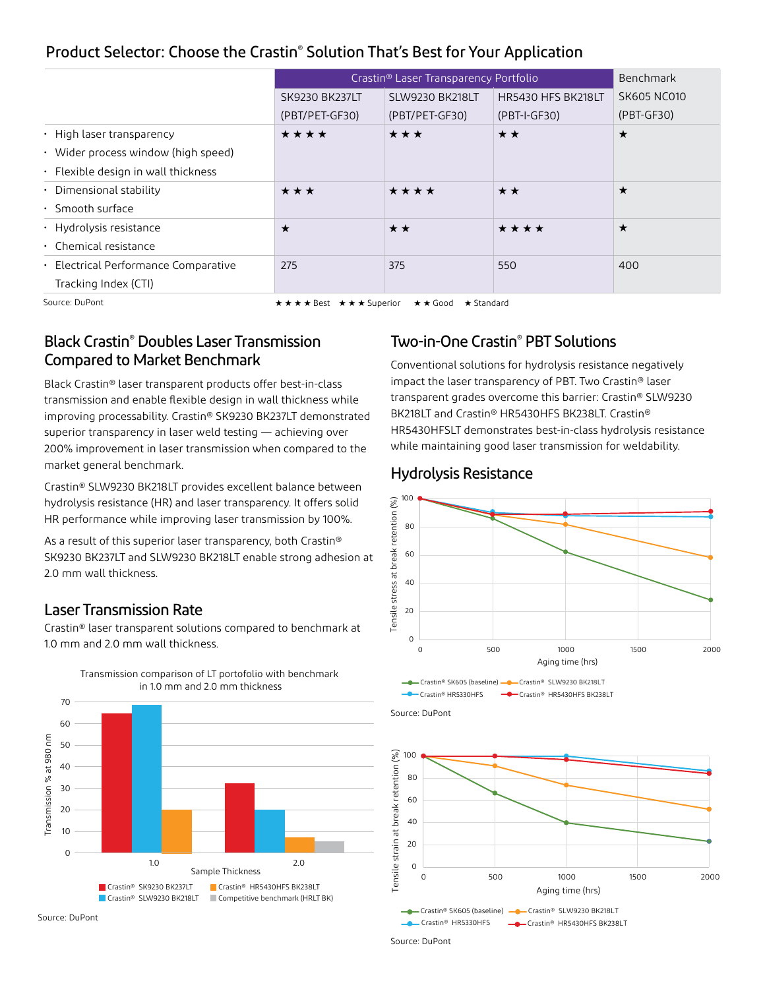## Product Selector: Choose the Crastin® Solution That's Best for Your Application

|                                           | Crastin® Laser Transparency Portfolio | Benchmark              |                        |                    |
|-------------------------------------------|---------------------------------------|------------------------|------------------------|--------------------|
|                                           | <b>SK9230 BK237LT</b>                 | <b>SLW9230 BK218LT</b> | HR5430 HFS BK218LT     | <b>SK605 NC010</b> |
|                                           | (PBT/PET-GF30)                        | (PBT/PET-GF30)         | (PBT-I-GF30)           | $(PBT-GF30)$       |
| $\cdot$ High laser transparency           | ****                                  | ***                    | $\star\star$           | $\star$            |
| • Wider process window (high speed)       |                                       |                        |                        |                    |
| $\cdot$ Flexible design in wall thickness |                                       |                        |                        |                    |
| • Dimensional stability                   | $\star\star\star$                     | $\star\star\star\star$ | $\star\star$           | $\star$            |
| $\cdot$ Smooth surface                    |                                       |                        |                        |                    |
| · Hydrolysis resistance                   | $\star$                               | $\star \star$          | $\star\star\star\star$ | $\star$            |
| $\cdot$ Chemical resistance               |                                       |                        |                        |                    |
| · Electrical Performance Comparative      | 275                                   | 375                    | 550                    | 400                |
| Tracking Index (CTI)                      |                                       |                        |                        |                    |

Source: DuPont H H H H Best H H H Superior H H Good H Standard

## Black Crastin® Doubles Laser Transmission Compared to Market Benchmark

Black Crastin® laser transparent products offer best-in-class transmission and enable flexible design in wall thickness while improving processability. Crastin® SK9230 BK237LT demonstrated superior transparency in laser weld testing — achieving over 200% improvement in laser transmission when compared to the market general benchmark.

Crastin® SLW9230 BK218LT provides excellent balance between hydrolysis resistance (HR) and laser transparency. It offers solid HR performance while improving laser transmission by 100%.

As a result of this superior laser transparency, both Crastin® SK9230 BK237LT and SLW9230 BK218LT enable strong adhesion at 2.0 mm wall thickness.

## Laser Transmission Rate

Crastin® laser transparent solutions compared to benchmark at 1.0 mm and 2.0 mm wall thickness.





#### Source: DuPont

## Two-in-One Crastin® PBT Solutions

Conventional solutions for hydrolysis resistance negatively impact the laser transparency of PBT. Two Crastin® laser transparent grades overcome this barrier: Crastin® SLW9230 BK218LT and Crastin® HR5430HFS BK238LT. Crastin® HR5430HFSLT demonstrates best-in-class hydrolysis resistance while maintaining good laser transmission for weldability.

### Hydrolysis Resistance